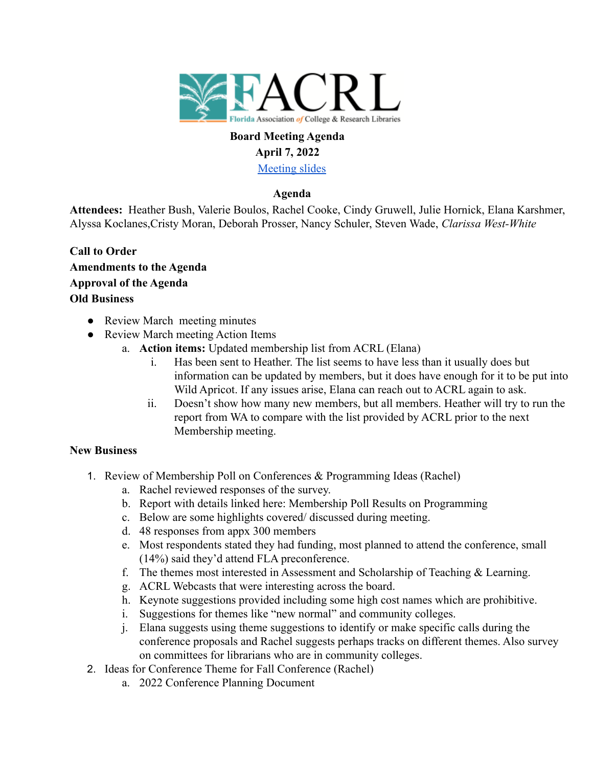

# **Board Meeting Agenda April 7, 2022**

[Meeting slides](https://docs.google.com/presentation/d/18fMnce36fw06bhlPRXcNyylO09qRYw-B6xCjP8OCVrg/edit?usp=sharing)

## **Agenda**

**Attendees:** Heather Bush, Valerie Boulos, Rachel Cooke, Cindy Gruwell, Julie Hornick, Elana Karshmer, Alyssa Koclanes,Cristy Moran, Deborah Prosser, Nancy Schuler, Steven Wade, *Clarissa West-White*

- **Call to Order Amendments to the Agenda Approval of the Agenda Old Business**
	- Review March meeting minutes
	- Review March meeting Action Items
		- a. **Action items:** Updated membership list from ACRL (Elana)
			- i. Has been sent to Heather. The list seems to have less than it usually does but information can be updated by members, but it does have enough for it to be put into Wild Apricot. If any issues arise, Elana can reach out to ACRL again to ask.
			- ii. Doesn't show how many new members, but all members. Heather will try to run the report from WA to compare with the list provided by ACRL prior to the next Membership meeting.

## **New Business**

- 1. Review of Membership Poll on Conferences & Programming Ideas (Rachel)
	- a. Rachel reviewed responses of the survey.
	- b. Report with details linked here: Membership Poll Results on Programming
	- c. Below are some highlights covered/ discussed during meeting.
	- d. 48 responses from appx 300 members
	- e. Most respondents stated they had funding, most planned to attend the conference, small (14%) said they'd attend FLA preconference.
	- f. The themes most interested in Assessment and Scholarship of Teaching & Learning.
	- g. ACRL Webcasts that were interesting across the board.
	- h. Keynote suggestions provided including some high cost names which are prohibitive.
	- i. Suggestions for themes like "new normal" and community colleges.
	- j. Elana suggests using theme suggestions to identify or make specific calls during the conference proposals and Rachel suggests perhaps tracks on different themes. Also survey on committees for librarians who are in community colleges.
- 2. Ideas for Conference Theme for Fall Conference (Rachel)
	- a. 2022 Conference Planning Document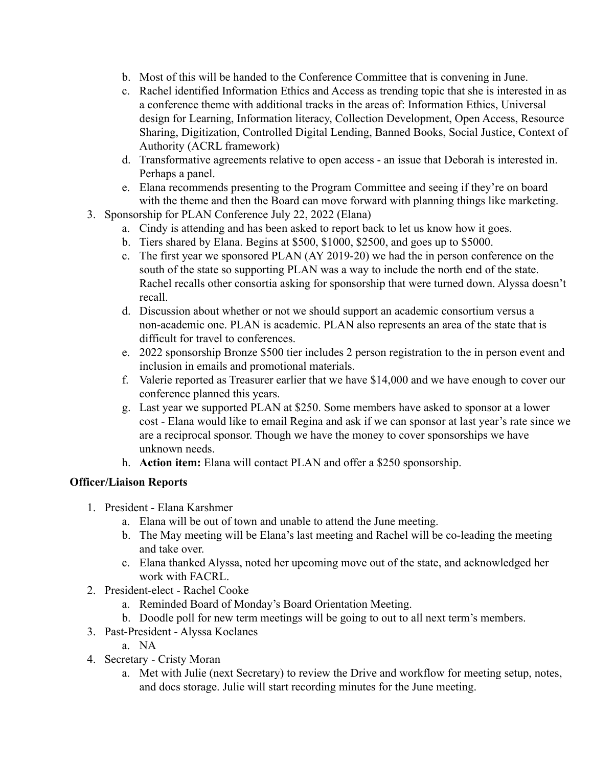- b. Most of this will be handed to the Conference Committee that is convening in June.
- c. Rachel identified Information Ethics and Access as trending topic that she is interested in as a conference theme with additional tracks in the areas of: Information Ethics, Universal design for Learning, Information literacy, Collection Development, Open Access, Resource Sharing, Digitization, Controlled Digital Lending, Banned Books, Social Justice, Context of Authority (ACRL framework)
- d. Transformative agreements relative to open access an issue that Deborah is interested in. Perhaps a panel.
- e. Elana recommends presenting to the Program Committee and seeing if they're on board with the theme and then the Board can move forward with planning things like marketing.
- 3. Sponsorship for PLAN Conference July 22, 2022 (Elana)
	- a. Cindy is attending and has been asked to report back to let us know how it goes.
	- b. Tiers shared by Elana. Begins at \$500, \$1000, \$2500, and goes up to \$5000.
	- c. The first year we sponsored PLAN (AY 2019-20) we had the in person conference on the south of the state so supporting PLAN was a way to include the north end of the state. Rachel recalls other consortia asking for sponsorship that were turned down. Alyssa doesn't recall.
	- d. Discussion about whether or not we should support an academic consortium versus a non-academic one. PLAN is academic. PLAN also represents an area of the state that is difficult for travel to conferences.
	- e. 2022 sponsorship Bronze \$500 tier includes 2 person registration to the in person event and inclusion in emails and promotional materials.
	- f. Valerie reported as Treasurer earlier that we have \$14,000 and we have enough to cover our conference planned this years.
	- g. Last year we supported PLAN at \$250. Some members have asked to sponsor at a lower cost - Elana would like to email Regina and ask if we can sponsor at last year's rate since we are a reciprocal sponsor. Though we have the money to cover sponsorships we have unknown needs.
	- h. **Action item:** Elana will contact PLAN and offer a \$250 sponsorship.

#### **Officer/Liaison Reports**

- 1. President Elana Karshmer
	- a. Elana will be out of town and unable to attend the June meeting.
	- b. The May meeting will be Elana's last meeting and Rachel will be co-leading the meeting and take over.
	- c. Elana thanked Alyssa, noted her upcoming move out of the state, and acknowledged her work with FACRL.
- 2. President-elect Rachel Cooke
	- a. Reminded Board of Monday's Board Orientation Meeting.
	- b. Doodle poll for new term meetings will be going to out to all next term's members.
- 3. Past-President Alyssa Koclanes
	- a. NA
- 4. Secretary Cristy Moran
	- a. Met with Julie (next Secretary) to review the Drive and workflow for meeting setup, notes, and docs storage. Julie will start recording minutes for the June meeting.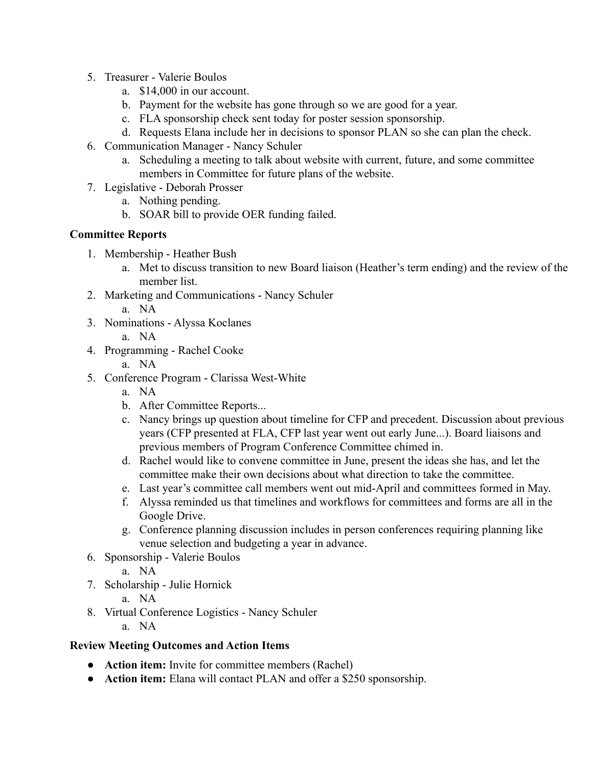- 5. Treasurer Valerie Boulos
	- a. \$14,000 in our account.
	- b. Payment for the website has gone through so we are good for a year.
	- c. FLA sponsorship check sent today for poster session sponsorship.
	- d. Requests Elana include her in decisions to sponsor PLAN so she can plan the check.
- 6. Communication Manager Nancy Schuler
	- a. Scheduling a meeting to talk about website with current, future, and some committee members in Committee for future plans of the website.
- 7. Legislative Deborah Prosser
	- a. Nothing pending.
	- b. SOAR bill to provide OER funding failed.

### **Committee Reports**

- 1. Membership Heather Bush
	- a. Met to discuss transition to new Board liaison (Heather's term ending) and the review of the member list.
- 2. Marketing and Communications Nancy Schuler
	- a. NA
- 3. Nominations Alyssa Koclanes
	- a. NA
- 4. Programming Rachel Cooke
	- a. NA
- 5. Conference Program Clarissa West-White
	- a. NA
	- b. After Committee Reports...
	- c. Nancy brings up question about timeline for CFP and precedent. Discussion about previous years (CFP presented at FLA, CFP last year went out early June...). Board liaisons and previous members of Program Conference Committee chimed in.
	- d. Rachel would like to convene committee in June, present the ideas she has, and let the committee make their own decisions about what direction to take the committee.
	- e. Last year's committee call members went out mid-April and committees formed in May.
	- f. Alyssa reminded us that timelines and workflows for committees and forms are all in the Google Drive.
	- g. Conference planning discussion includes in person conferences requiring planning like venue selection and budgeting a year in advance.
- 6. Sponsorship Valerie Boulos
	- a. NA
- 7. Scholarship Julie Hornick
	- a. NA
- 8. Virtual Conference Logistics Nancy Schuler
	- a. NA

## **Review Meeting Outcomes and Action Items**

- **Action item:** Invite for committee members (Rachel)
- **Action item:** Elana will contact PLAN and offer a \$250 sponsorship.